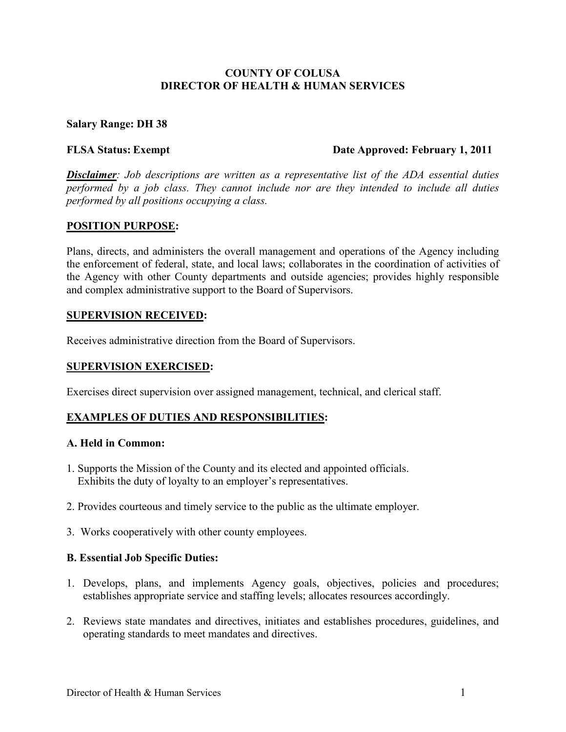## **COUNTY OF COLUSA DIRECTOR OF HEALTH & HUMAN SERVICES**

## **Salary Range: DH 38**

#### **FLSA Status: Exempt Date Approved: February 1, 2011**

*Disclaimer: Job descriptions are written as a representative list of the ADA essential duties performed by a job class. They cannot include nor are they intended to include all duties performed by all positions occupying a class.* 

### **POSITION PURPOSE:**

Plans, directs, and administers the overall management and operations of the Agency including the enforcement of federal, state, and local laws; collaborates in the coordination of activities of the Agency with other County departments and outside agencies; provides highly responsible and complex administrative support to the Board of Supervisors.

### **SUPERVISION RECEIVED:**

Receives administrative direction from the Board of Supervisors.

## **SUPERVISION EXERCISED:**

Exercises direct supervision over assigned management, technical, and clerical staff.

## **EXAMPLES OF DUTIES AND RESPONSIBILITIES:**

### **A. Held in Common:**

- 1. Supports the Mission of the County and its elected and appointed officials. Exhibits the duty of loyalty to an employer's representatives.
- 2. Provides courteous and timely service to the public as the ultimate employer.
- 3.Works cooperatively with other county employees.

#### **B. Essential Job Specific Duties:**

- 1. Develops, plans, and implements Agency goals, objectives, policies and procedures; establishes appropriate service and staffing levels; allocates resources accordingly.
- 2. Reviews state mandates and directives, initiates and establishes procedures, guidelines, and operating standards to meet mandates and directives.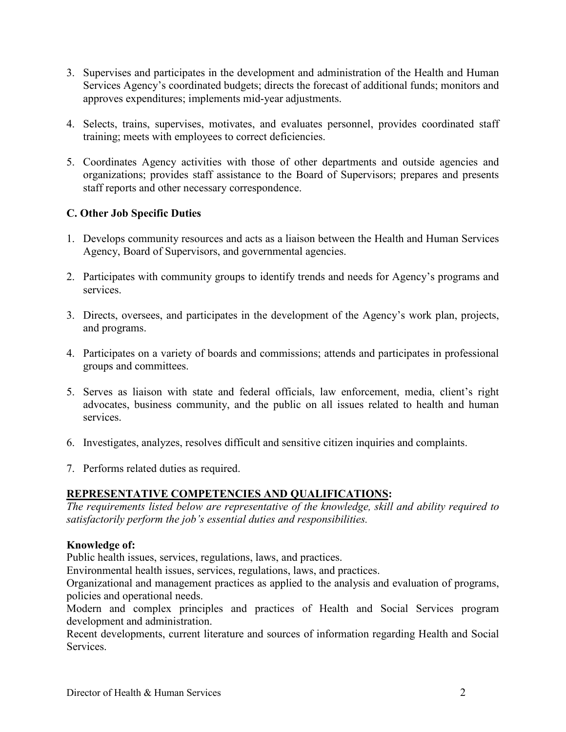- 3. Supervises and participates in the development and administration of the Health and Human Services Agency's coordinated budgets; directs the forecast of additional funds; monitors and approves expenditures; implements mid-year adjustments.
- 4. Selects, trains, supervises, motivates, and evaluates personnel, provides coordinated staff training; meets with employees to correct deficiencies.
- 5. Coordinates Agency activities with those of other departments and outside agencies and organizations; provides staff assistance to the Board of Supervisors; prepares and presents staff reports and other necessary correspondence.

# **C. Other Job Specific Duties**

- 1. Develops community resources and acts as a liaison between the Health and Human Services Agency, Board of Supervisors, and governmental agencies.
- 2. Participates with community groups to identify trends and needs for Agency's programs and services.
- 3. Directs, oversees, and participates in the development of the Agency's work plan, projects, and programs.
- 4. Participates on a variety of boards and commissions; attends and participates in professional groups and committees.
- 5. Serves as liaison with state and federal officials, law enforcement, media, client's right advocates, business community, and the public on all issues related to health and human services.
- 6. Investigates, analyzes, resolves difficult and sensitive citizen inquiries and complaints.
- 7. Performs related duties as required.

# **REPRESENTATIVE COMPETENCIES AND QUALIFICATIONS:**

*The requirements listed below are representative of the knowledge, skill and ability required to satisfactorily perform the job's essential duties and responsibilities.* 

# **Knowledge of:**

Public health issues, services, regulations, laws, and practices.

Environmental health issues, services, regulations, laws, and practices.

Organizational and management practices as applied to the analysis and evaluation of programs, policies and operational needs.

Modern and complex principles and practices of Health and Social Services program development and administration.

Recent developments, current literature and sources of information regarding Health and Social Services.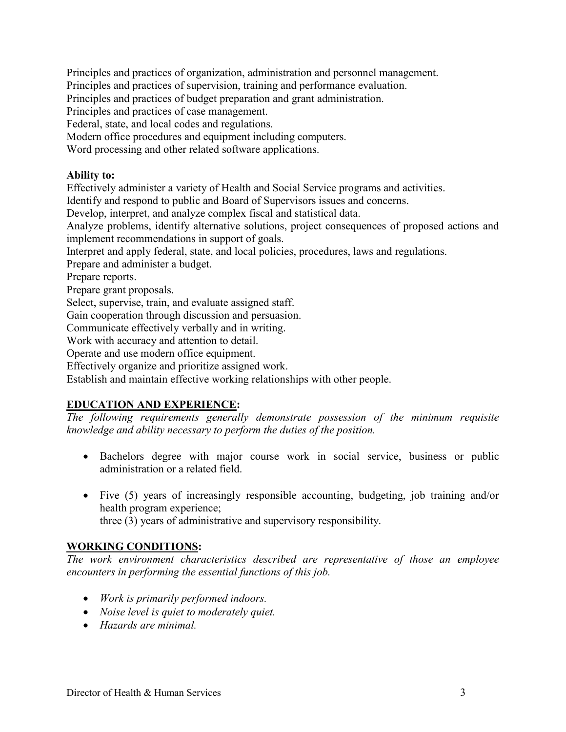Principles and practices of organization, administration and personnel management.

Principles and practices of supervision, training and performance evaluation.

Principles and practices of budget preparation and grant administration.

Principles and practices of case management.

Federal, state, and local codes and regulations.

Modern office procedures and equipment including computers.

Word processing and other related software applications.

## **Ability to:**

Effectively administer a variety of Health and Social Service programs and activities.

Identify and respond to public and Board of Supervisors issues and concerns.

Develop, interpret, and analyze complex fiscal and statistical data.

Analyze problems, identify alternative solutions, project consequences of proposed actions and implement recommendations in support of goals.

Interpret and apply federal, state, and local policies, procedures, laws and regulations.

Prepare and administer a budget.

Prepare reports.

Prepare grant proposals.

Select, supervise, train, and evaluate assigned staff.

Gain cooperation through discussion and persuasion.

Communicate effectively verbally and in writing.

Work with accuracy and attention to detail.

Operate and use modern office equipment.

Effectively organize and prioritize assigned work.

Establish and maintain effective working relationships with other people.

# **EDUCATION AND EXPERIENCE:**

*The following requirements generally demonstrate possession of the minimum requisite knowledge and ability necessary to perform the duties of the position.*

- Bachelors degree with major course work in social service, business or public administration or a related field.
- Five (5) years of increasingly responsible accounting, budgeting, job training and/or health program experience; three (3) years of administrative and supervisory responsibility.

# **WORKING CONDITIONS:**

*The work environment characteristics described are representative of those an employee encounters in performing the essential functions of this job.* 

- *Work is primarily performed indoors.*
- *Noise level is quiet to moderately quiet.*
- *Hazards are minimal.*